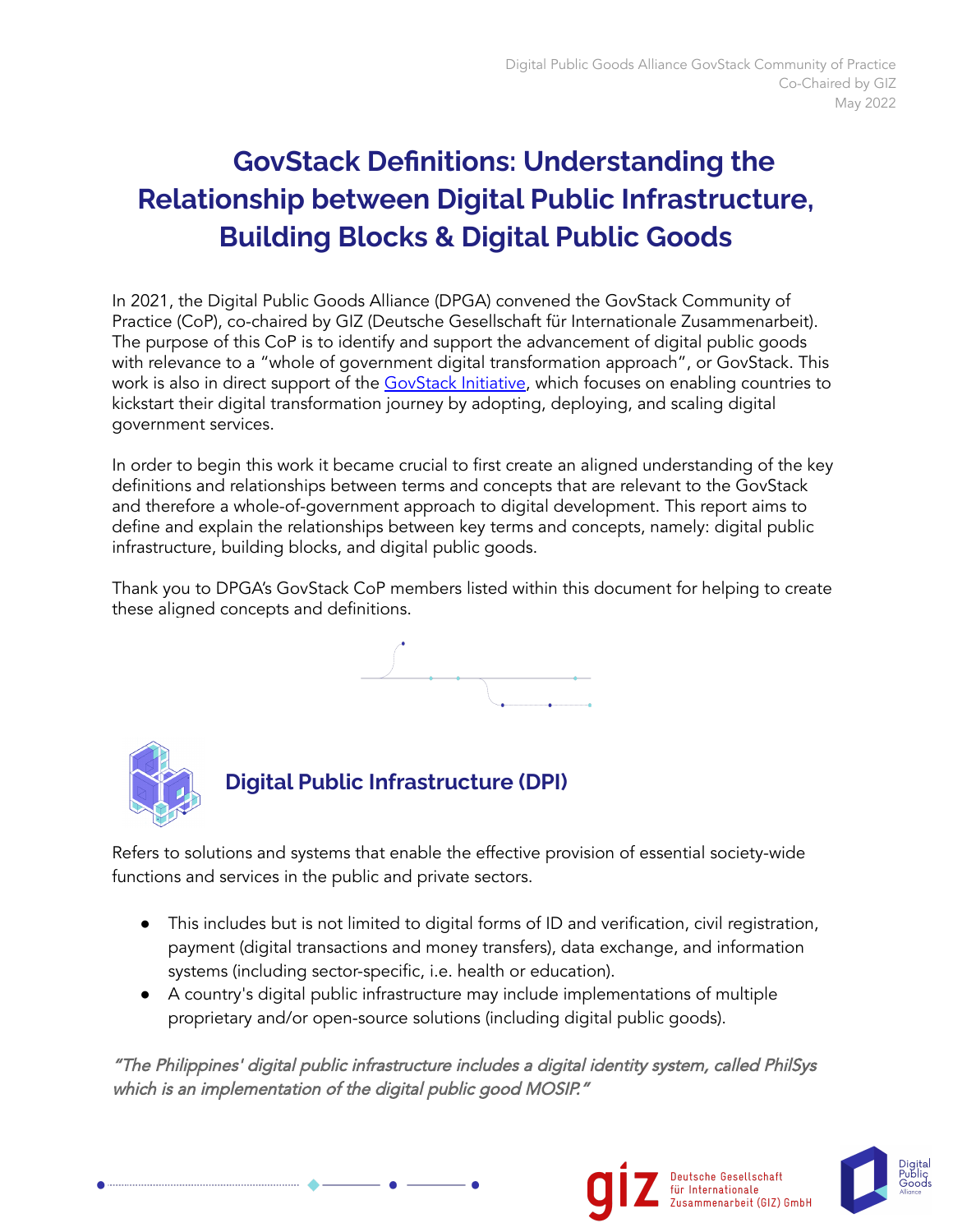# **GovStack Definitions: Understanding the Relationship between Digital Public Infrastructure, Building Blocks & Digital Public Goods**

In 2021, the Digital Public Goods Alliance (DPGA) convened the GovStack Community of Practice (CoP), co-chaired by GIZ (Deutsche Gesellschaft für Internationale Zusammenarbeit). The purpose of this CoP is to identify and support the advancement of digital public goods with relevance to a "whole of government digital transformation approach", or GovStack. This work is also in direct support of the [GovStack](https://www.govstack.global/) Initiative, which focuses on enabling countries to kickstart their digital transformation journey by adopting, deploying, and scaling digital government services.

In order to begin this work it became crucial to first create an aligned understanding of the key definitions and relationships between terms and concepts that are relevant to the GovStack and therefore a whole-of-government approach to digital development. This report aims to define and explain the relationships between key terms and concepts, namely: digital public infrastructure, building blocks, and digital public goods.

Thank you to DPGA's GovStack CoP members listed within this document for helping to create these aligned concepts and definitions.





.....................................



Refers to solutions and systems that enable the effective provision of essential society-wide functions and services in the public and private sectors.

- This includes but is not limited to digital forms of ID and verification, civil registration, payment (digital transactions and money transfers), data exchange, and information systems (including sector-specific, i.e. health or education).
- A country's digital public infrastructure may include implementations of multiple proprietary and/or open-source solutions (including digital public goods).

"The Philippines' digital public infrastructure includes <sup>a</sup> digital identity system, called PhilSys which is an implementation of the digital public good MOSIP."



Deutsche Gesellschaft

für Internationale Zusammenarbeit (GIZ) GmbH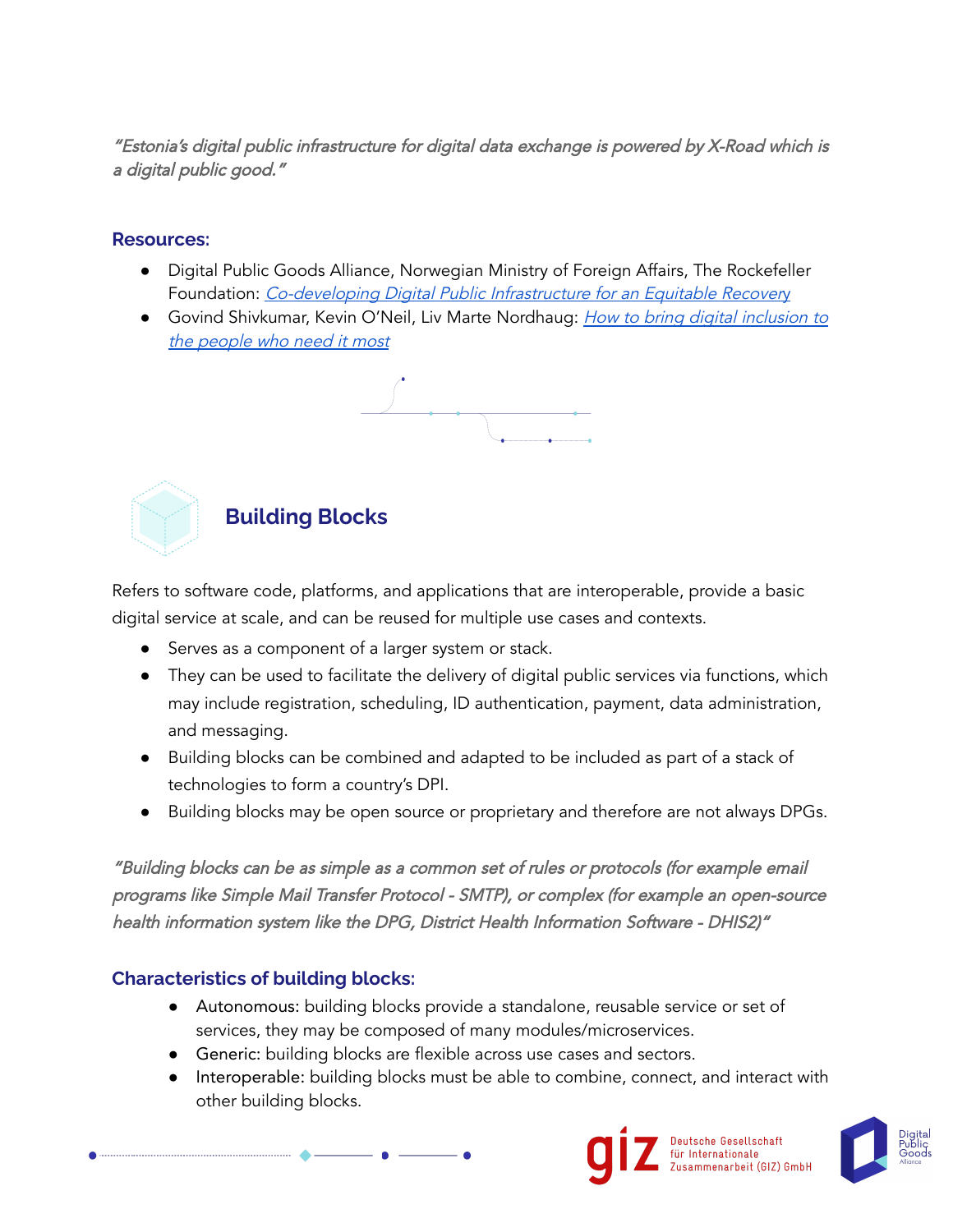"Estonia's digital public infrastructure for digital data exchange is powered by X-Road which is <sup>a</sup> digital public good."

#### **Resources:**

- Digital Public Goods Alliance, Norwegian Ministry of Foreign Affairs, The Rockefeller Foundation: [Co-developing](https://www.rockefellerfoundation.org/report/co-develop-digital-public-infrastructure-for-an-equitable-recovery/) Digital Public Infrastructure for an Equitable Recovery
- Govind Shivkumar, Kevin O'Neil, Liv Marte Nordhaug: *How to bring digital [inclusion](https://www.weforum.org/agenda/2021/08/4-reasons-you-should-care-about-digital-public-infrastructure/) to* the [peop](https://www.weforum.org/agenda/2021/08/4-reasons-you-should-care-about-digital-public-infrastructure/)le who need it most





### **Building Blocks**

Refers to software code, platforms, and applications that are interoperable, provide a basic digital service at scale, and can be reused for multiple use cases and contexts.

- Serves as a component of a larger system or stack.
- They can be used to facilitate the delivery of digital public services via functions, which may include registration, scheduling, ID authentication, payment, data administration, and messaging.
- Building blocks can be combined and adapted to be included as part of a stack of technologies to form a country's DPI.
- Building blocks may be open source or proprietary and therefore are not always DPGs.

"Building blocks can be as simple as <sup>a</sup> common set of rules or protocols (for example email programs like Simple Mail Transfer Protocol - SMTP), or complex (for example an open-source health information system like the DPG, District Health Information Software - DHIS2)"

### **Characteristics of building blocks:**

- Autonomous: building blocks provide a standalone, reusable service or set of services, they may be composed of many modules/microservices.
- Generic: building blocks are flexible across use cases and sectors.
- Interoperable: building blocks must be able to combine, connect, and interact with other building blocks.



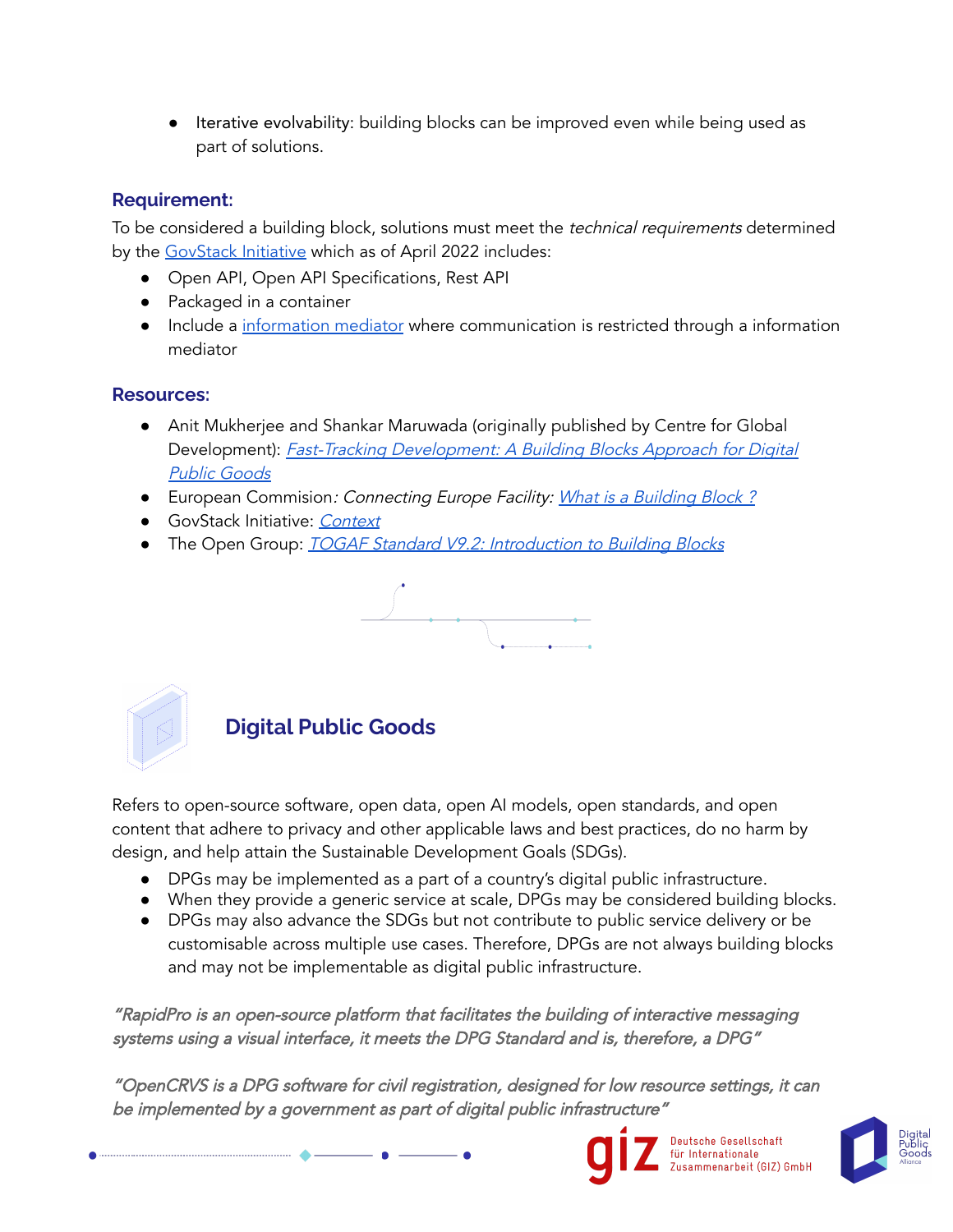● Iterative evolvability: building blocks can be improved even while being used as part of solutions.

### **Requirement:**

To be considered a building block, solutions must meet the *technical requirements* determined by the [GovStack](https://www.govstack.global/) Initiative which as of April 2022 includes:

- Open API, Open API Specifications, Rest API
- Packaged in a container
- Include a [information](https://discourse.govstack.global/c/building-blocks/information-mediator/10) mediator where communication is restricted through a information mediator

#### **Resources:**

- Anit Mukherjee and Shankar Maruwada (originally published by Centre for Global Development): Fast-Tracking [Development:](https://www.sunbird.org/explore/articles/23-fast-tracking-development-a-building-blocks-approach-for-digital-public-goods) <sup>A</sup> Building Blocks Approach for Digital Public [Goods](https://www.sunbird.org/explore/articles/23-fast-tracking-development-a-building-blocks-approach-for-digital-public-goods)
- European Commision: Connecting Europe Facility: What is a [Building](https://ec.europa.eu/cefdigital/wiki/display/CEFDIGITAL/What+is+a+Building+Block) Block?
- GovStack Initiative: [Context](https://www.govstack.global/about/)
- The Open Group: **TOGAF Standard V9.2: [Introduction](https://pubs.opengroup.org/architecture/togaf9-doc/arch/chap33.html#tag_33_02) to Building Blocks**





# **Digital Public Goods**

Refers to open-source software, open data, open AI models, open standards, and open content that adhere to privacy and other applicable laws and best practices, do no harm by design, and help attain the Sustainable Development Goals (SDGs).

- DPGs may be implemented as a part of a country's digital public infrastructure.
- When they provide a generic service at scale, DPGs may be considered building blocks.
- DPGs may also advance the SDGs but not contribute to public service delivery or be customisable across multiple use cases. Therefore, DPGs are not always building blocks and may not be implementable as digital public infrastructure.

"RapidPro is an open-source platform that facilitates the building of interactive messaging systems using <sup>a</sup> visual interface, it meets the DPG Standard and is, therefore, <sup>a</sup> DPG"

"OpenCRVS is <sup>a</sup> DPG software for civil registration, designed for low resource settings, it can be implemented by <sup>a</sup> government as part of digital public infrastructure["](https://digitalpublicgoods.net/registry/rapidpro.html)



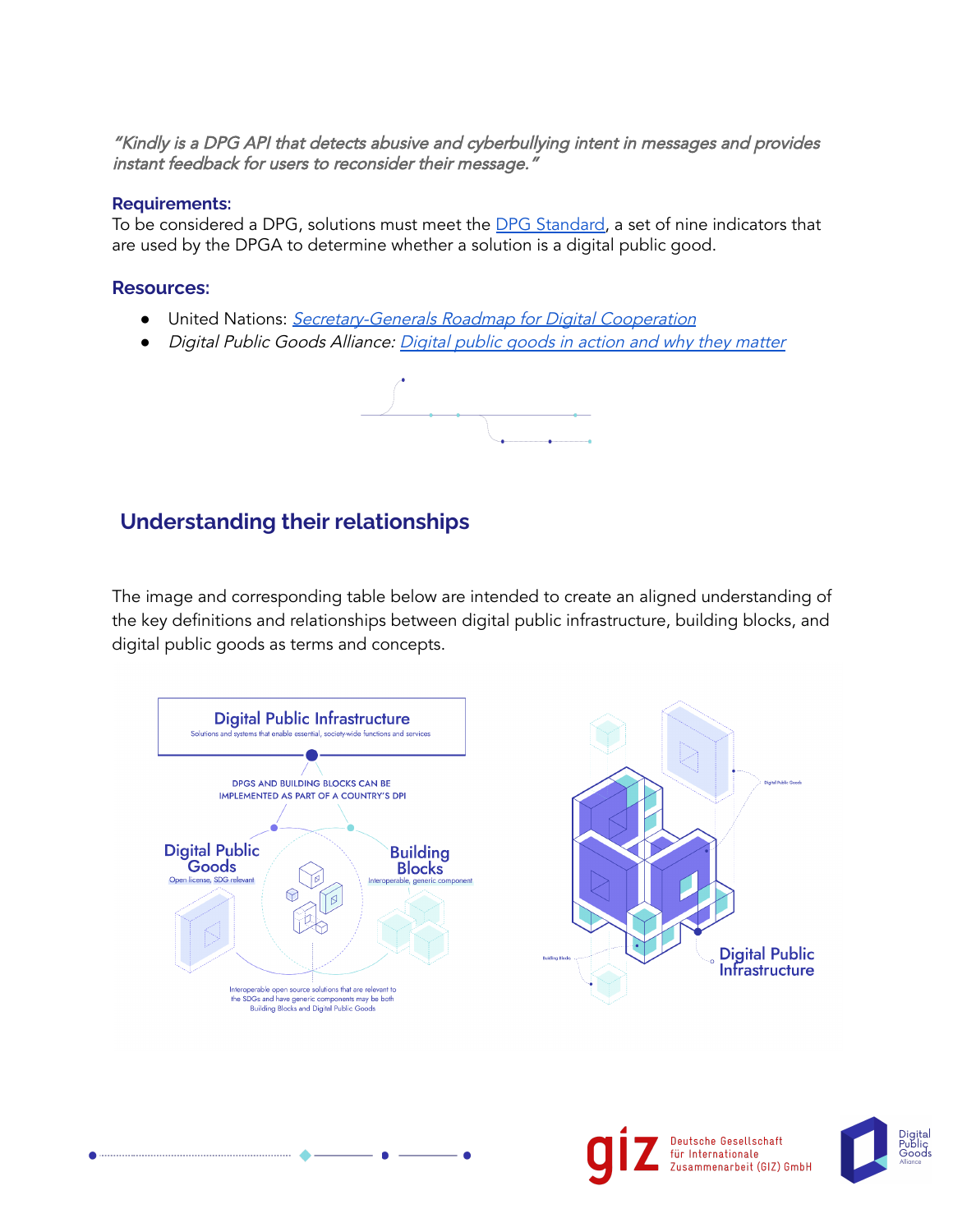"Kindly is <sup>a</sup> DPG API that detects abusive and [cyberbullying](https://digitalpublicgoods.net/registry/rapidpro.html) intent in messages and provides instant feedback for users to [reconsider](https://digitalpublicgoods.net/registry/rapidpro.html) their message."

#### **Requirements:**

To be considered a DPG, solutions must meet the DPG [Standard,](http://digitalpublicgoods.net/standard/) a set of nine indicators that are used by the DPGA to determine whether a solution is a digital public good.

#### **Resources:**

- United Nations: [Secretary-Generals](https://www.un.org/en/content/digital-cooperation-roadmap/) Roadmap for Digital Cooperation
- *●* Digital Public Goods Alliance: [Digital](https://digitalpublicgoods.net/digital-public-goods/) public goods in action and why they matter



### **Understanding their relationships**

The image and corresponding table below are intended to create an aligned understanding of the key definitions and relationships between digital public infrastructure, building blocks, and digital public goods as terms and concepts.





Deutsche Gesellschaft für Internationale Zusammenarbeit (GIZ) GmbH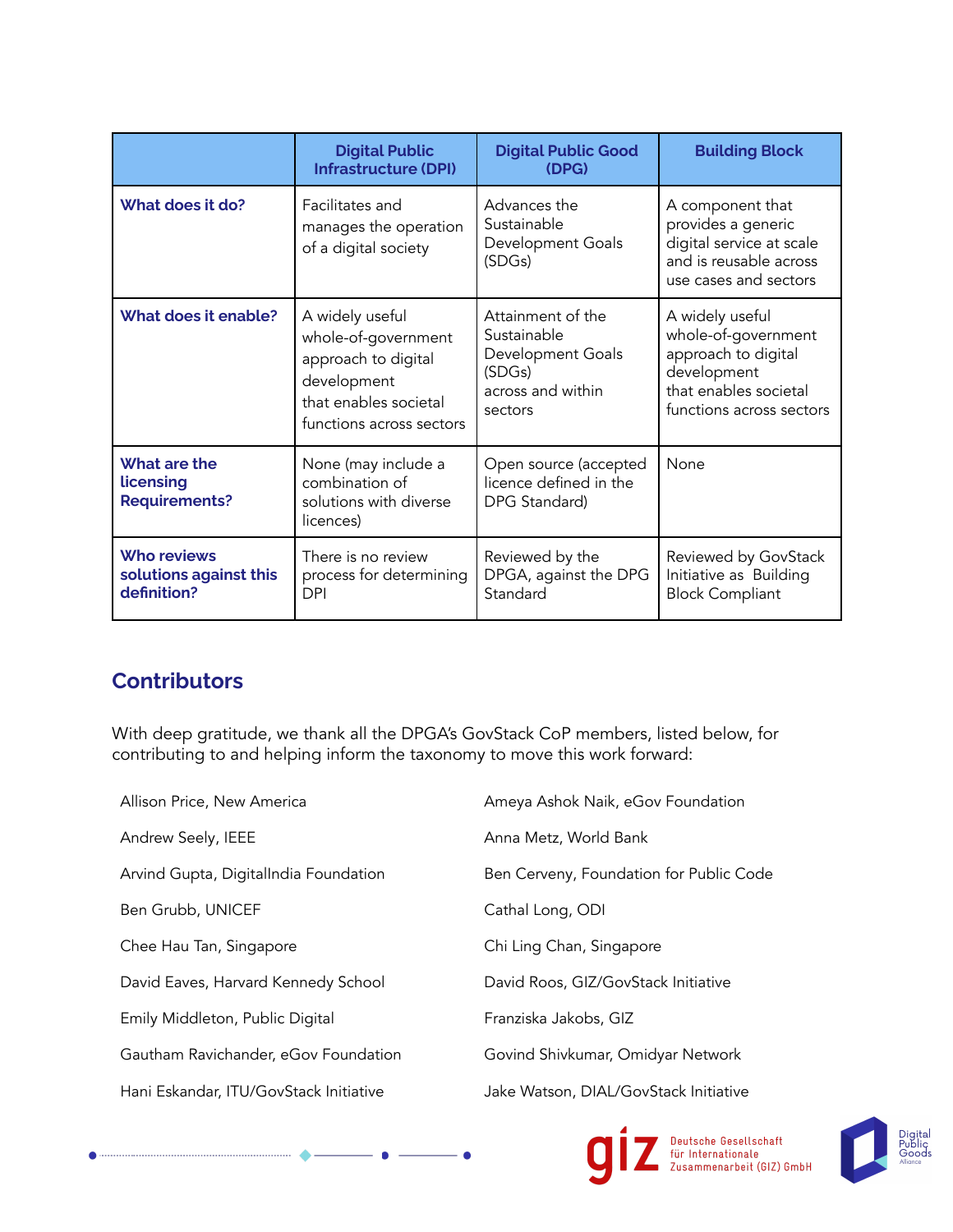|                                                             | <b>Digital Public</b><br><b>Infrastructure (DPI)</b>                                                                              | <b>Digital Public Good</b><br>(DPG)                                                             | <b>Building Block</b>                                                                                                             |
|-------------------------------------------------------------|-----------------------------------------------------------------------------------------------------------------------------------|-------------------------------------------------------------------------------------------------|-----------------------------------------------------------------------------------------------------------------------------------|
| What does it do?                                            | Facilitates and<br>manages the operation<br>of a digital society                                                                  | Advances the<br>Sustainable<br>Development Goals<br>(SDGs)                                      | A component that<br>provides a generic<br>digital service at scale<br>and is reusable across<br>use cases and sectors             |
| What does it enable?                                        | A widely useful<br>whole-of-government<br>approach to digital<br>development<br>that enables societal<br>functions across sectors | Attainment of the<br>Sustainable<br>Development Goals<br>(SDGs)<br>across and within<br>sectors | A widely useful<br>whole-of-government<br>approach to digital<br>development<br>that enables societal<br>functions across sectors |
| What are the<br>licensing<br><b>Requirements?</b>           | None (may include a<br>combination of<br>solutions with diverse<br>licences)                                                      | Open source (accepted<br>licence defined in the<br>DPG Standard)                                | None                                                                                                                              |
| <b>Who reviews</b><br>solutions against this<br>definition? | There is no review<br>process for determining<br><b>DPI</b>                                                                       | Reviewed by the<br>DPGA, against the DPG<br>Standard                                            | Reviewed by GovStack<br>Initiative as Building<br><b>Block Compliant</b>                                                          |

# **Contributors**

With deep gratitude, we thank all the DPGA's GovStack CoP members, listed below, for contributing to and helping inform the taxonomy to move this work forward:

| Allison Price, New America             | Ameya Ashok Naik, eGov Foundation       |
|----------------------------------------|-----------------------------------------|
| Andrew Seely, IEEE                     | Anna Metz, World Bank                   |
| Arvind Gupta, DigitalIndia Foundation  | Ben Cerveny, Foundation for Public Code |
| Ben Grubb, UNICEF                      | Cathal Long, ODI                        |
| Chee Hau Tan, Singapore                | Chi Ling Chan, Singapore                |
| David Eaves, Harvard Kennedy School    | David Roos, GIZ/GovStack Initiative     |
| Emily Middleton, Public Digital        | Franziska Jakobs, GIZ                   |
| Gautham Ravichander, eGov Foundation   | Govind Shivkumar, Omidyar Network       |
| Hani Eskandar, ITU/GovStack Initiative | Jake Watson, DIAL/GovStack Initiative   |
|                                        |                                         |



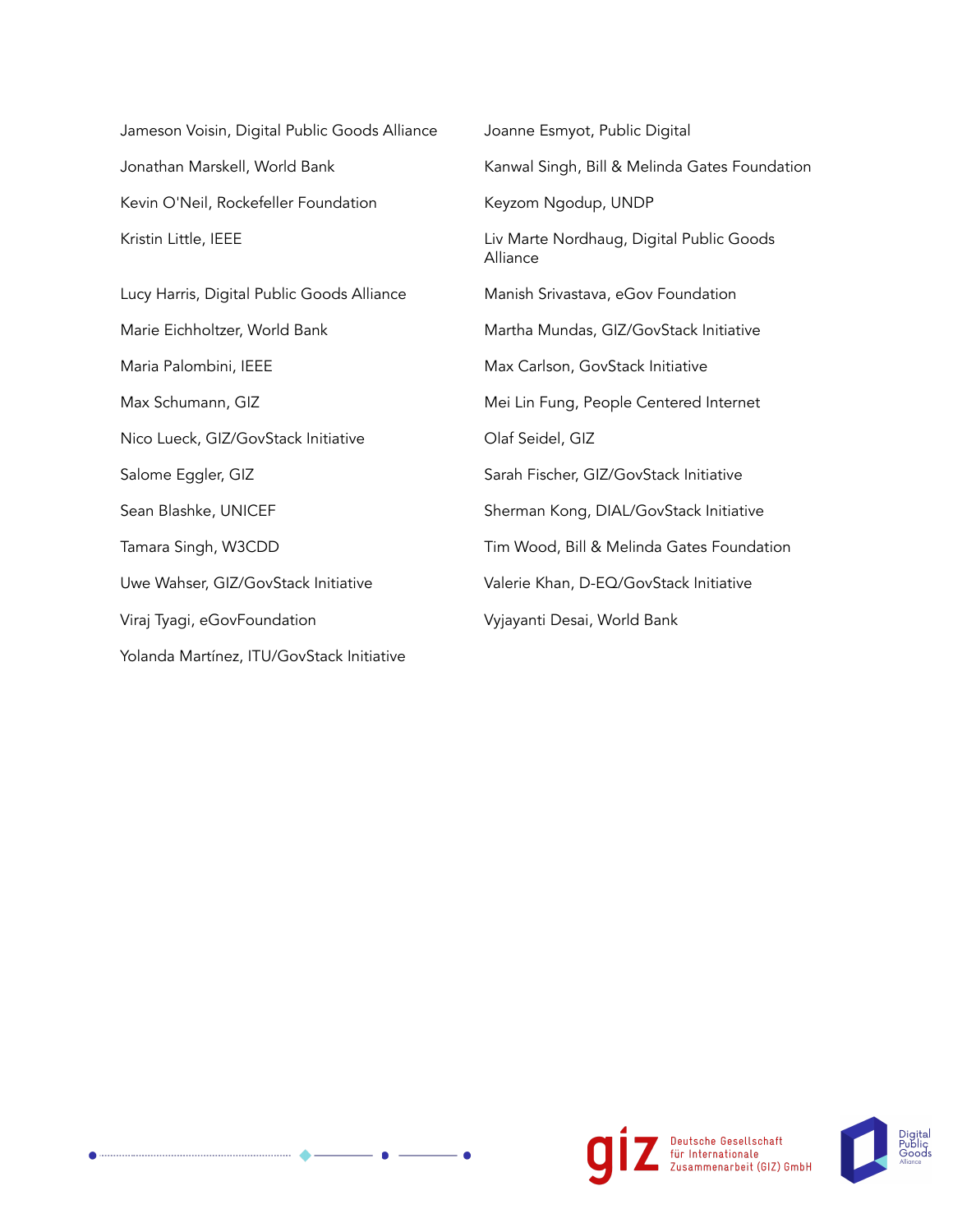| Jameson Voisin, Digital Public Goods Alliance | Joanne Esmyot, Public Digital                        |  |
|-----------------------------------------------|------------------------------------------------------|--|
| Jonathan Marskell, World Bank                 | Kanwal Singh, Bill & Melinda Gates Foundation        |  |
| Kevin O'Neil, Rockefeller Foundation          | Keyzom Ngodup, UNDP                                  |  |
| Kristin Little, IEEE                          | Liv Marte Nordhaug, Digital Public Goods<br>Alliance |  |
| Lucy Harris, Digital Public Goods Alliance    | Manish Srivastava, eGov Foundation                   |  |
| Marie Eichholtzer, World Bank                 | Martha Mundas, GIZ/GovStack Initiative               |  |
| Maria Palombini, IEEE                         | Max Carlson, GovStack Initiative                     |  |
| Max Schumann, GIZ                             | Mei Lin Fung, People Centered Internet               |  |
| Nico Lueck, GIZ/GovStack Initiative           | Olaf Seidel, GIZ                                     |  |
| Salome Eggler, GIZ                            | Sarah Fischer, GIZ/GovStack Initiative               |  |
| Sean Blashke, UNICEF                          | Sherman Kong, DIAL/GovStack Initiative               |  |
| Tamara Singh, W3CDD                           | Tim Wood, Bill & Melinda Gates Foundation            |  |
| Uwe Wahser, GIZ/GovStack Initiative           | Valerie Khan, D-EQ/GovStack Initiative               |  |
| Viraj Tyagi, eGovFoundation                   | Vyjayanti Desai, World Bank                          |  |
| Yolanda Martínez, ITU/GovStack Initiative     |                                                      |  |

٠